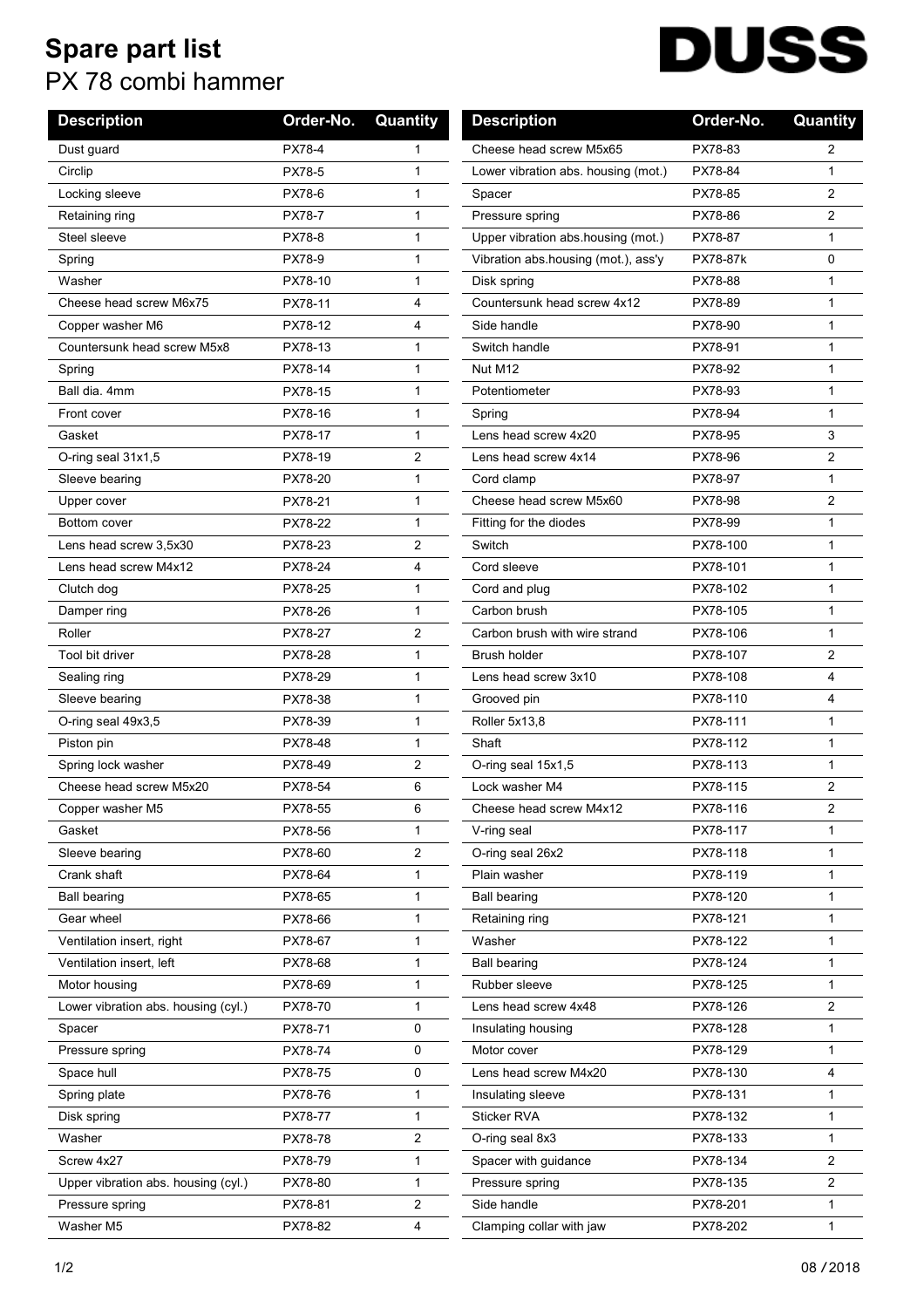## **Spare part list** PX 78 combi hammer

## **DUSS**

| <b>Description</b>                  | Order-No.     | Quantity     | <b>Description</b>                  | Order-No. | Quantity       |
|-------------------------------------|---------------|--------------|-------------------------------------|-----------|----------------|
| Dust guard                          | PX78-4        | $\mathbf{1}$ | Cheese head screw M5x65             | PX78-83   | 2              |
| Circlip                             | PX78-5        | 1            | Lower vibration abs. housing (mot.) | PX78-84   | 1              |
| Locking sleeve                      | PX78-6        | $\mathbf{1}$ | Spacer                              | PX78-85   | $\overline{2}$ |
| Retaining ring                      | PX78-7        | 1            | Pressure spring                     | PX78-86   | 2              |
| Steel sleeve                        | <b>PX78-8</b> | $\mathbf{1}$ | Upper vibration abs housing (mot.)  | PX78-87   | 1              |
| Spring                              | PX78-9        | $\mathbf{1}$ | Vibration abs housing (mot.), ass'y | PX78-87k  | 0              |
| Washer                              | PX78-10       | 1            | Disk spring                         | PX78-88   | 1              |
| Cheese head screw M6x75             | PX78-11       | 4            | Countersunk head screw 4x12         | PX78-89   | 1              |
| Copper washer M6                    | PX78-12       | 4            | Side handle                         | PX78-90   | 1              |
| Countersunk head screw M5x8         | PX78-13       | $\mathbf{1}$ | Switch handle                       | PX78-91   | 1              |
| Spring                              | PX78-14       | 1            | Nut M12                             | PX78-92   | 1              |
| Ball dia, 4mm                       | PX78-15       | 1            | Potentiometer                       | PX78-93   | 1              |
| Front cover                         | PX78-16       | 1            | Spring                              | PX78-94   | 1              |
| Gasket                              | PX78-17       | $\mathbf{1}$ | Lens head screw 4x20                | PX78-95   | 3              |
| O-ring seal 31x1,5                  | PX78-19       | 2            | Lens head screw 4x14                | PX78-96   | $\overline{2}$ |
| Sleeve bearing                      | PX78-20       | $\mathbf{1}$ | Cord clamp                          | PX78-97   | 1              |
| Upper cover                         | PX78-21       | $\mathbf{1}$ | Cheese head screw M5x60             | PX78-98   | 2              |
| <b>Bottom cover</b>                 | PX78-22       | 1            | Fitting for the diodes              | PX78-99   | 1              |
| Lens head screw 3,5x30              | PX78-23       | 2            | Switch                              | PX78-100  | 1              |
| Lens head screw M4x12               | PX78-24       | 4            | Cord sleeve                         | PX78-101  | 1              |
| Clutch dog                          | PX78-25       | 1            | Cord and plug                       | PX78-102  | 1              |
| Damper ring                         | PX78-26       | $\mathbf{1}$ | Carbon brush                        | PX78-105  | 1              |
| Roller                              | PX78-27       | 2            | Carbon brush with wire strand       | PX78-106  | 1              |
| Tool bit driver                     | PX78-28       | $\mathbf{1}$ | <b>Brush holder</b>                 | PX78-107  | $\overline{2}$ |
| Sealing ring                        | PX78-29       | 1            | Lens head screw 3x10                | PX78-108  | 4              |
| Sleeve bearing                      | PX78-38       | 1            | Grooved pin                         | PX78-110  | 4              |
| O-ring seal 49x3,5                  | PX78-39       | 1            | Roller 5x13,8                       | PX78-111  | 1              |
| Piston pin                          | PX78-48       | $\mathbf{1}$ | Shaft                               | PX78-112  | 1              |
| Spring lock washer                  | PX78-49       | 2            | O-ring seal 15x1,5                  | PX78-113  | 1              |
| Cheese head screw M5x20             | PX78-54       | 6            | Lock washer M4                      | PX78-115  | 2              |
| Copper washer M5                    | PX78-55       | 6            | Cheese head screw M4x12             | PX78-116  | 2              |
| Gasket                              | PX78-56       | 1            | V-ring seal                         | PX78-117  | 1              |
| Sleeve bearing                      | PX78-60       | 2            | O-ring seal 26x2                    | PX78-118  | 1              |
| Crank shaft                         | PX78-64       | 1            | Plain washer                        | PX78-119  | 1              |
| <b>Ball bearing</b>                 | PX78-65       | $\mathbf{1}$ | <b>Ball bearing</b>                 | PX78-120  | 1              |
| Gear wheel                          | PX78-66       | $\mathbf{1}$ | Retaining ring                      | PX78-121  | 1              |
| Ventilation insert, right           | PX78-67       | $\mathbf{1}$ | Washer                              | PX78-122  | 1              |
| Ventilation insert, left            | PX78-68       | 1            | <b>Ball bearing</b>                 | PX78-124  | 1              |
| Motor housing                       | PX78-69       | 1            | Rubber sleeve                       | PX78-125  | 1              |
| Lower vibration abs. housing (cyl.) | PX78-70       | $\mathbf{1}$ | Lens head screw 4x48                | PX78-126  | 2              |
| Spacer                              | PX78-71       | 0            | Insulating housing                  | PX78-128  | 1              |
| Pressure spring                     | PX78-74       | 0            | Motor cover                         | PX78-129  | $\mathbf{1}$   |
| Space hull                          | PX78-75       | 0            | Lens head screw M4x20               | PX78-130  | 4              |
| Spring plate                        | PX78-76       | 1            | Insulating sleeve                   | PX78-131  | 1              |
| Disk spring                         | PX78-77       | $\mathbf{1}$ | Sticker RVA                         | PX78-132  | 1              |
| Washer                              | PX78-78       | 2            | O-ring seal 8x3                     | PX78-133  | 1              |
| Screw 4x27                          | PX78-79       | $\mathbf{1}$ | Spacer with guidance                | PX78-134  | 2              |
| Upper vibration abs. housing (cyl.) | PX78-80       | 1            | Pressure spring                     | PX78-135  | 2              |
| Pressure spring                     | PX78-81       | 2            | Side handle                         | PX78-201  | 1              |
| Washer M5                           | PX78-82       | 4            | Clamping collar with jaw            | PX78-202  | 1              |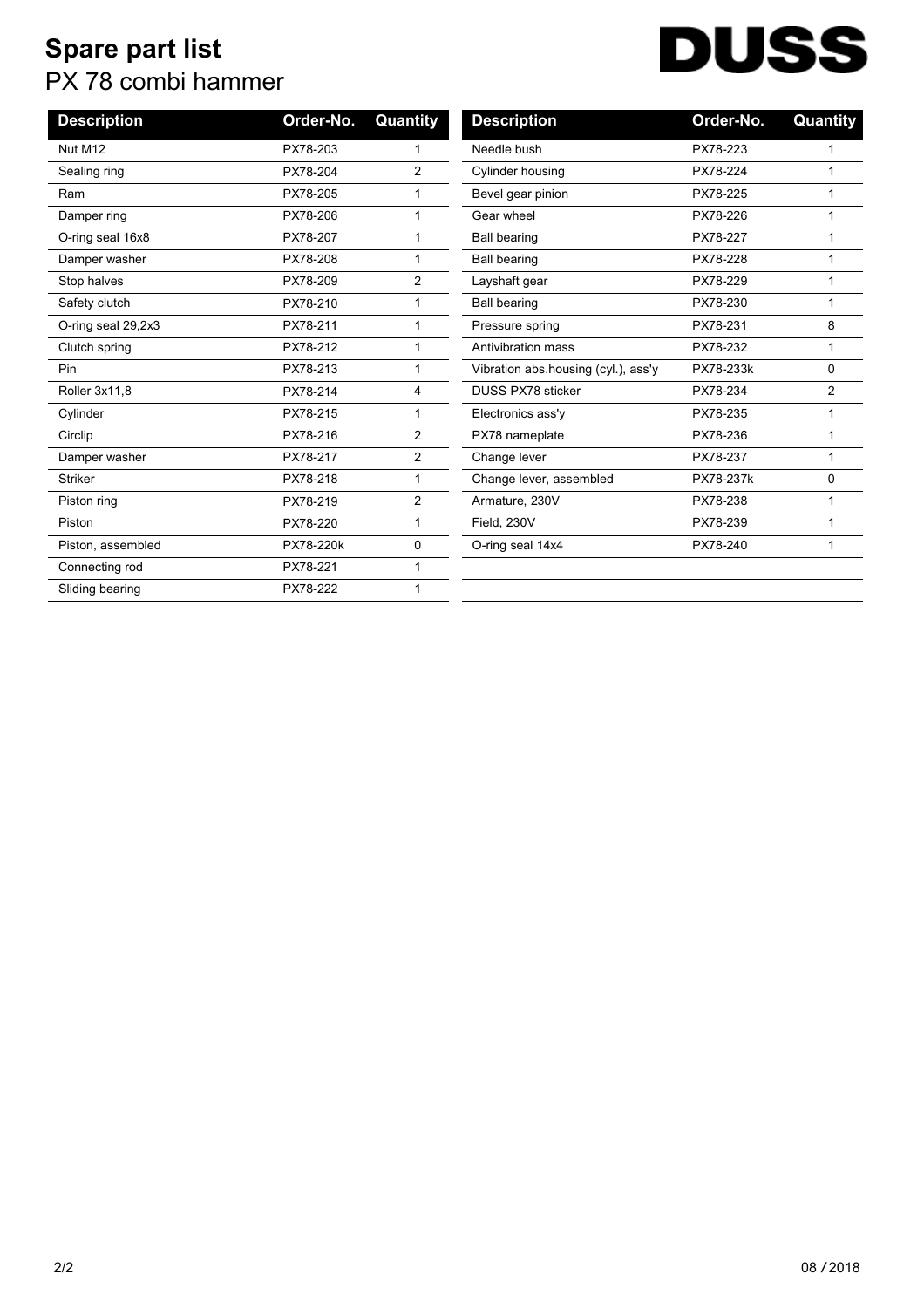## **Spare part list** PX 78 combi hammer

## **DUSS**

| <b>Description</b> | Order-No. | Quantity       | <b>Description</b>                  | Order-No. | Quantity       |
|--------------------|-----------|----------------|-------------------------------------|-----------|----------------|
| Nut M12            | PX78-203  |                | Needle bush                         | PX78-223  |                |
| Sealing ring       | PX78-204  | $\overline{2}$ | Cylinder housing                    | PX78-224  |                |
| Ram                | PX78-205  |                | Bevel gear pinion                   | PX78-225  | 1              |
| Damper ring        | PX78-206  |                | Gear wheel                          | PX78-226  |                |
| O-ring seal 16x8   | PX78-207  |                | <b>Ball bearing</b>                 | PX78-227  |                |
| Damper washer      | PX78-208  |                | <b>Ball bearing</b>                 | PX78-228  |                |
| Stop halves        | PX78-209  | 2              | Layshaft gear                       | PX78-229  |                |
| Safety clutch      | PX78-210  |                | <b>Ball bearing</b>                 | PX78-230  |                |
| O-ring seal 29,2x3 | PX78-211  |                | Pressure spring                     | PX78-231  | 8              |
| Clutch spring      | PX78-212  |                | Antivibration mass                  | PX78-232  | 1              |
| Pin                | PX78-213  |                | Vibration abs housing (cyl.), ass'y | PX78-233k | 0              |
| Roller 3x11,8      | PX78-214  | 4              | DUSS PX78 sticker                   | PX78-234  | $\overline{2}$ |
| Cylinder           | PX78-215  |                | Electronics ass'y                   | PX78-235  |                |
| Circlip            | PX78-216  | 2              | PX78 nameplate                      | PX78-236  |                |
| Damper washer      | PX78-217  | $\overline{2}$ | Change lever                        | PX78-237  |                |
| <b>Striker</b>     | PX78-218  |                | Change lever, assembled             | PX78-237k | 0              |
| Piston ring        | PX78-219  | 2              | Armature, 230V                      | PX78-238  |                |
| Piston             | PX78-220  |                | Field, 230V                         | PX78-239  |                |
| Piston, assembled  | PX78-220k | 0              | O-ring seal 14x4                    | PX78-240  |                |
| Connecting rod     | PX78-221  |                |                                     |           |                |
| Sliding bearing    | PX78-222  |                |                                     |           |                |